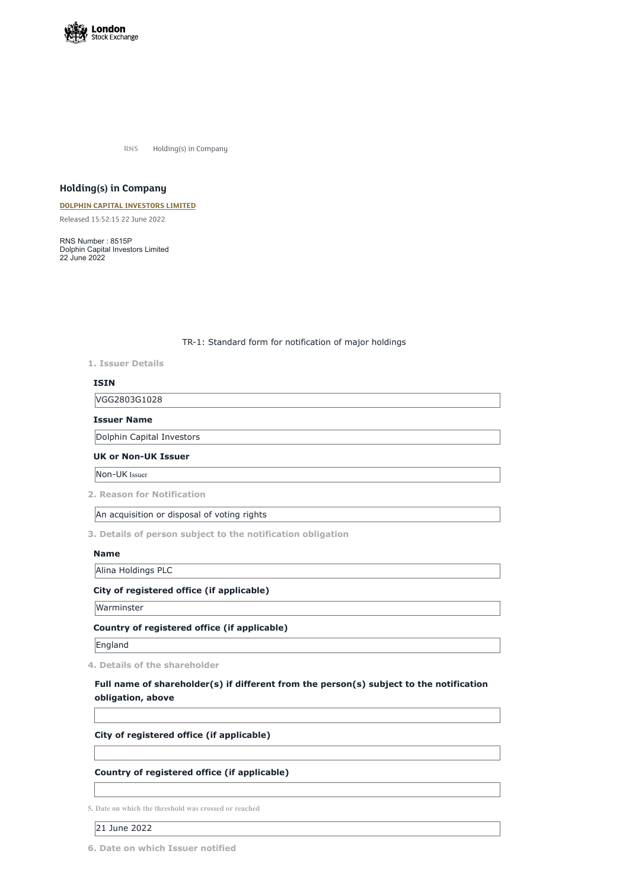

**RNS** Holding(s) in Company

# **Holding(s) in Company**

#### **DOLPHIN CAPITAL [INVESTORS](https://www.londonstockexchange.com/stock/DCI/dolphin-capital-investors-limited) LIMITED**

Released 15:52:15 22 June 2022

RNS Number : 8515P Dolphin Capital Investors Limited 22 June 2022

TR-1: Standard form for notification of major holdings

**1. Issuer Details**

## **ISIN**

VGG2803G1028

#### **Issuer Name**

Dolphin Capital Investors

## **UK or Non-UK Issuer**

Non-UK Issuer

**2. Reason for Notification**

An acquisition or disposal of voting rights

**3. Details of person subject to the notification obligation**

#### **Name**

Alina Holdings PLC

## **City of registered office (if applicable)**

Warminster

## **Country of registered office (if applicable)**

England

**4. Details of the shareholder**

# **Full name of shareholder(s) if different from the person(s) subject to the notification**

**obligation, above**

## **City of registered office (if applicable)**

# **Country of registered office (if applicable)**

**5. Date on which the threshold was crossed or reached**

21 June 2022

**6. Date on which Issuer notified**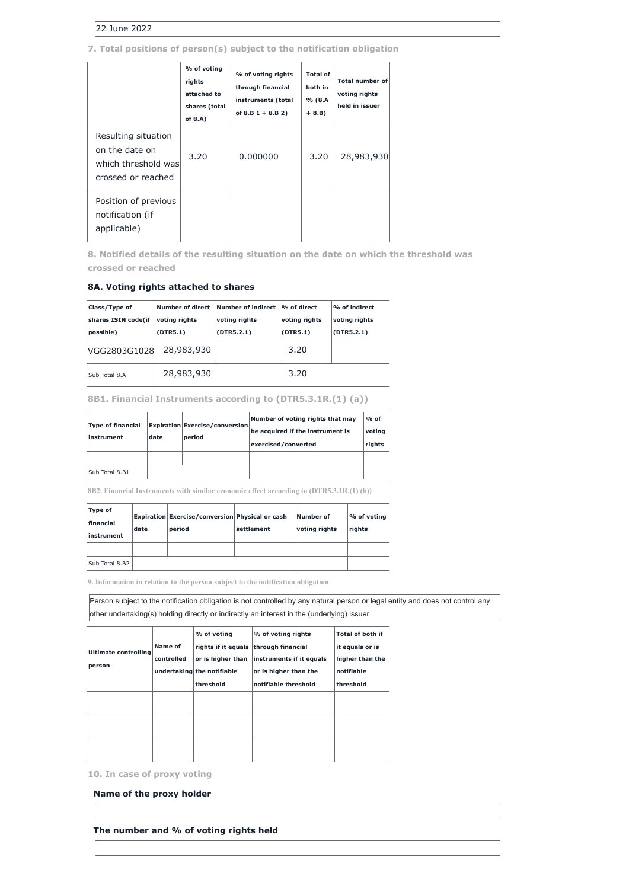# 22 June 2022

# **7. Total positions of person(s) subject to the notification obligation**

|                                                                                    | % of voting<br>rights<br>attached to<br>shares (total<br>of $8.A$ ) | % of voting rights<br>through financial<br>instruments (total<br>of $8.B 1 + 8.B 2)$ | <b>Total of</b><br>both in<br>% (8.A<br>$+ 8.B)$ | <b>Total number of</b><br>voting rights<br>held in issuer |
|------------------------------------------------------------------------------------|---------------------------------------------------------------------|--------------------------------------------------------------------------------------|--------------------------------------------------|-----------------------------------------------------------|
| Resulting situation<br>on the date on<br>which threshold was<br>crossed or reached | 3.20                                                                | 0.000000                                                                             | 3.20                                             | 28,983,930                                                |
| Position of previous<br>notification (if<br>applicable)                            |                                                                     |                                                                                      |                                                  |                                                           |

**8. Notified details of the resulting situation on the date on which the threshold was crossed or reached**

## **8A. Voting rights attached to shares**

| Class/Type of       | <b>Number of direct</b> | <b>Number of indirect</b> | $\frac{1}{6}$ of direct | $\%$ of indirect |
|---------------------|-------------------------|---------------------------|-------------------------|------------------|
| shares ISIN code(if | voting rights           | voting rights             | voting rights           | voting rights    |
| possible)           | (DTR5.1)                | (DTR5.2.1)                | (DTR5.1)                | (DTR5.2.1)       |
| VGG2803G1028        | 28,983,930              |                           | 3.20                    |                  |
| Sub Total 8.A       | 28,983,930              |                           | 3.20                    |                  |

## **8B1. Financial Instruments according to (DTR5.3.1R.(1) (a))**

| <b>Type of financial</b><br>instrument | date | <b>Expiration Exercise/conversion</b><br>period | Number of voting rights that may<br>be acquired if the instrument is<br>exercised/converted | $%$ of<br>voting<br>rights |
|----------------------------------------|------|-------------------------------------------------|---------------------------------------------------------------------------------------------|----------------------------|
|                                        |      |                                                 |                                                                                             |                            |
| Sub Total 8.B1                         |      |                                                 |                                                                                             |                            |

**8B2. Financial Instruments with similar economic effect according to (DTR5.3.1R.(1) (b))**

| Type of<br><b>financial</b><br>linstrument | date | <b>Expiration Exercise/conversion Physical or cash</b><br>period | settlement | Number of<br>voting rights | % of voting<br>rights |
|--------------------------------------------|------|------------------------------------------------------------------|------------|----------------------------|-----------------------|
|                                            |      |                                                                  |            |                            |                       |
| Sub Total 8.B2                             |      |                                                                  |            |                            |                       |

**9. Information in relation to the person subject to the notification obligation**

Person subject to the notification obligation is not controlled by any natural person or legal entity and does not control any other undertaking(s) holding directly or indirectly an interest in the (underlying) issuer

| Ultimate controlling<br>person | <b>Name of</b><br>controlled | % of voting<br>rights if it equals through financial<br>or is higher than<br>undertaking the notifiable<br>threshold | % of voting rights<br>instruments if it equals<br>or is higher than the<br>notifiable threshold | Total of both if<br>it equals or is<br>higher than the<br>notifiable<br>threshold |
|--------------------------------|------------------------------|----------------------------------------------------------------------------------------------------------------------|-------------------------------------------------------------------------------------------------|-----------------------------------------------------------------------------------|
|                                |                              |                                                                                                                      |                                                                                                 |                                                                                   |
|                                |                              |                                                                                                                      |                                                                                                 |                                                                                   |
|                                |                              |                                                                                                                      |                                                                                                 |                                                                                   |

**10. In case of proxy voting**

**Name of the proxy holder**

**The number and % of voting rights held**